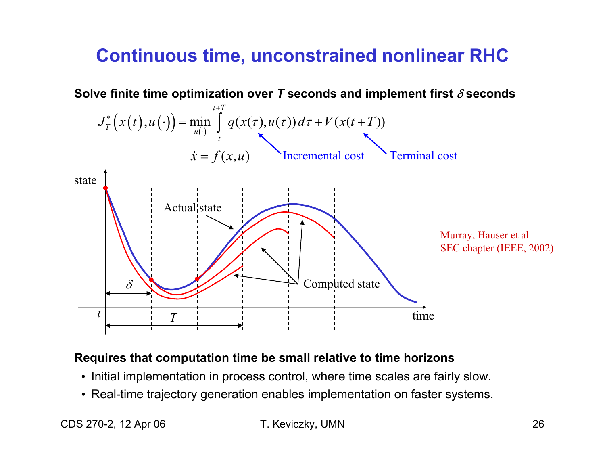## **Continuous time, unconstrained nonlinear RHC**



#### Requires that computation time be small relative to time horizons

- Initial implementation in process control, where time scales are fairly slow.
- Real-time trajectory generation enables implementation on faster systems.

CDS 270-2, 12 Apr 06

T. Keviczky, UMN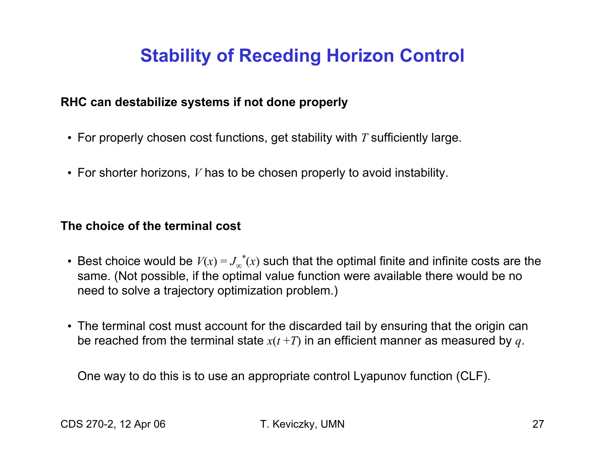## **Stability of Receding Horizon Control**

#### **RHC can destabilize systems if not done properly**

- For properly chosen cost functions, get stability with *T* sufficiently large.
- For shorter horizons, *V* has to be chosen properly to avoid instability.

**The choice of the terminal cost**

- Best choice would be  $V(x) = J_{\infty}^*(x)$  such that the optimal finite and infinite costs are the same. (Not possible, if the optimal value function were available there would be no need to solve a trajectory optimization problem.)
- The terminal cost must account for the discarded tail by ensuring that the origin can be reached from the terminal state  $x(t+T)$  in an efficient manner as measured by q.

One way to do this is to use an appropriate control Lyapunov function (CLF).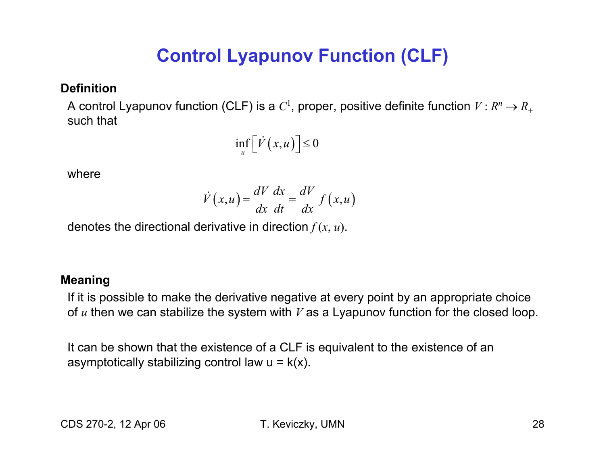# **Control Lyapunov Function (CLF)**

#### **Definition**

A control Lyapunov function (CLF) is a  $C^1$ , proper, positive definite function  $V$  :  $R^n \rightarrow R_+$ such that

$$
\inf_{u} \Bigl[ \dot{V}\bigl( x, u \bigr) \Bigr] \le 0
$$

where

$$
\dot{V}(x, u) = \frac{dV}{dx} \frac{dx}{dt} = \frac{dV}{dx} f(x, u)
$$

denotes the directional derivative in direction  $f(x, u)$ .

#### **Meaning**

If it is possible to make the derivative negative at every point by an appropriate choice of  $u$  then we can stabilize the system with  $V$  as a Lyapunov function for the closed loop.

It can be shown that the existence of a CLF is equivalent to the existence of an asymptotically stabilizing control law  $u = k(x)$ .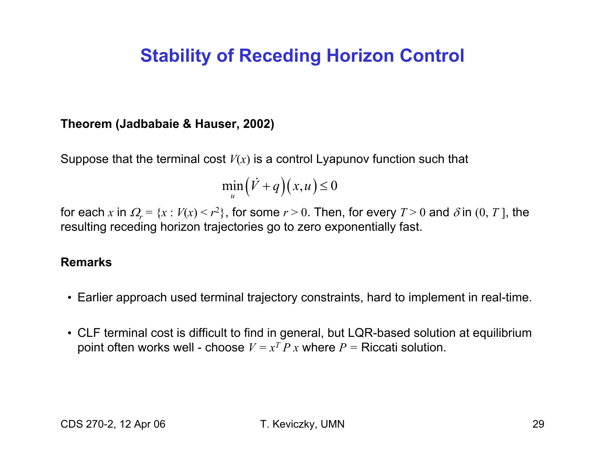## **Stability of Receding Horizon Control**

#### **Theorem (Jadbabaie & Hauser, 2002)**

Suppose that the terminal cost  $V(x)$  is a control Lyapunov function such that

$$
\min_{u} (\dot{V} + q)(x, u) \le 0
$$

for each x in  $\Omega_r = \{x : V(x) \le r^2\}$ , for some  $r > 0$ . Then, for every  $T > 0$  and  $\delta$  in  $(0, T]$ , the resulting receding horizon trajectories go to zero exponentially fast.

#### **Remarks**

- ? Earlier approach used terminal trajectory constraints, hard to implement in real-time.
- ? CLF terminal cost is difficult to find in general, but LQR-based solution at equilibrium point often works well - choose  $V = x^T P x$  where  $P =$  Riccati solution.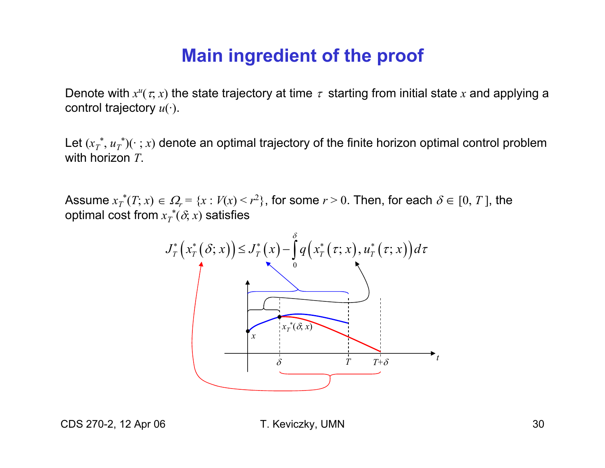### **Main ingredient of the proof**

Denote with  $x^u(\tau, x)$  the state trajectory at time  $\tau$  starting from initial state x and applying a control trajectory  $u(\cdot)$ .

Let  $(x_T^*, u_T^*)(\cdot; x)$  denote an optimal trajectory of the finite horizon optimal control problem with horizon  $T$ .

Assume  $x_T^*(T; x) \in \Omega_r = \{x : V(x) \le r^2\}$ , for some  $r > 0$ . Then, for each  $\delta \in [0, T]$ , the optimal cost from  $x^*_T(\delta, x)$  satisfies



CDS 270-2, 12 Apr 06

T. Keviczky, UMN